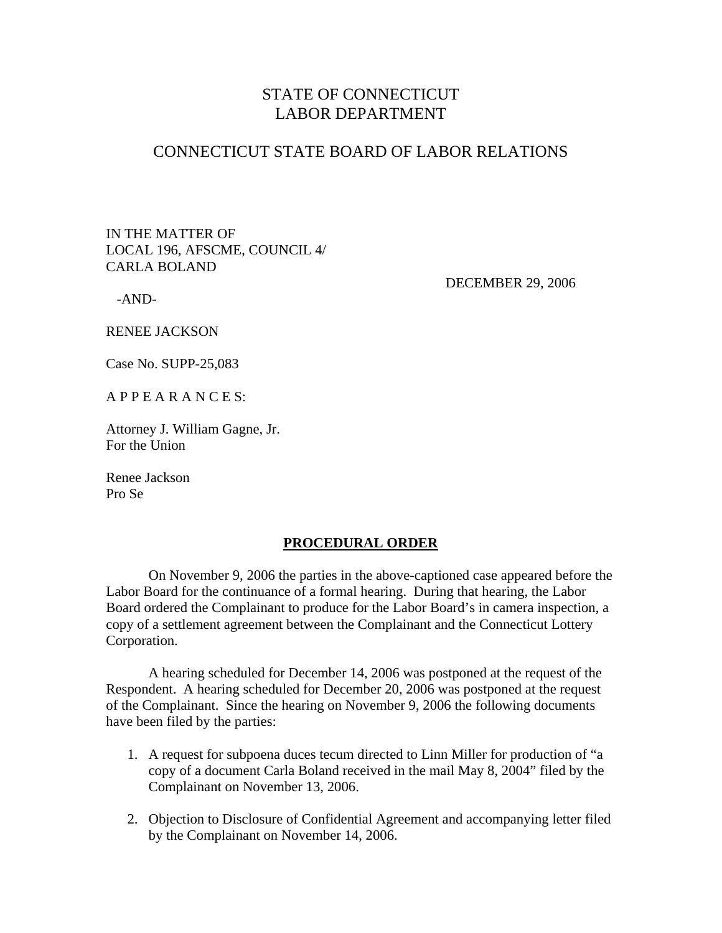# STATE OF CONNECTICUT LABOR DEPARTMENT

### CONNECTICUT STATE BOARD OF LABOR RELATIONS

IN THE MATTER OF LOCAL 196, AFSCME, COUNCIL 4/ CARLA BOLAND

-AND-

DECEMBER 29, 2006

RENEE JACKSON

Case No. SUPP-25,083

A P P E A R A N C E S:

Attorney J. William Gagne, Jr. For the Union

Renee Jackson Pro Se

#### **PROCEDURAL ORDER**

 On November 9, 2006 the parties in the above-captioned case appeared before the Labor Board for the continuance of a formal hearing. During that hearing, the Labor Board ordered the Complainant to produce for the Labor Board's in camera inspection, a copy of a settlement agreement between the Complainant and the Connecticut Lottery Corporation.

 A hearing scheduled for December 14, 2006 was postponed at the request of the Respondent. A hearing scheduled for December 20, 2006 was postponed at the request of the Complainant. Since the hearing on November 9, 2006 the following documents have been filed by the parties:

- 1. A request for subpoena duces tecum directed to Linn Miller for production of "a copy of a document Carla Boland received in the mail May 8, 2004" filed by the Complainant on November 13, 2006.
- 2. Objection to Disclosure of Confidential Agreement and accompanying letter filed by the Complainant on November 14, 2006.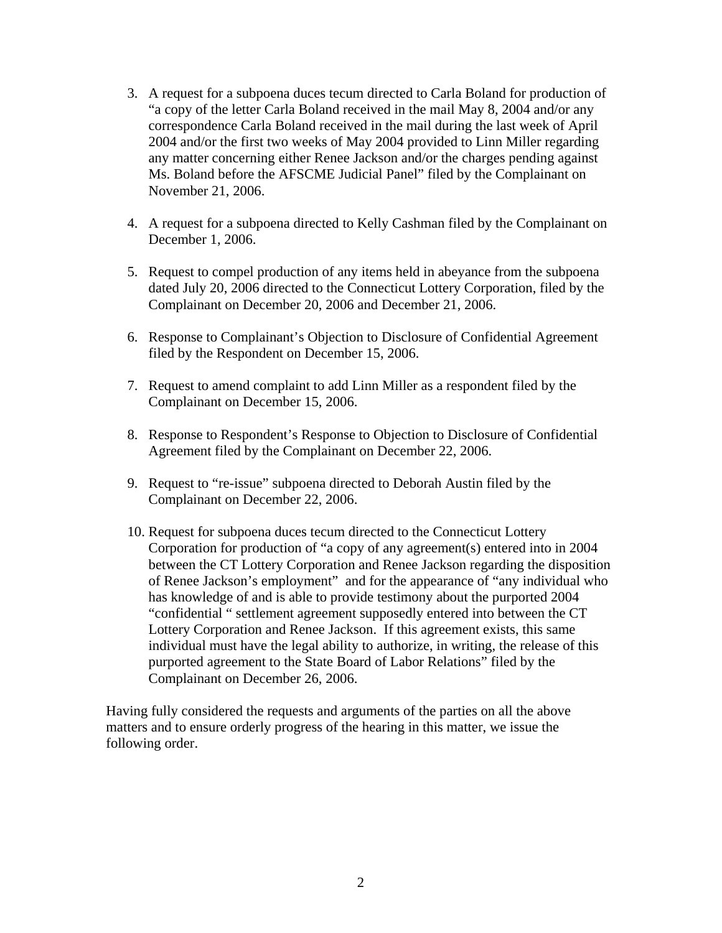- 3. A request for a subpoena duces tecum directed to Carla Boland for production of "a copy of the letter Carla Boland received in the mail May 8, 2004 and/or any correspondence Carla Boland received in the mail during the last week of April 2004 and/or the first two weeks of May 2004 provided to Linn Miller regarding any matter concerning either Renee Jackson and/or the charges pending against Ms. Boland before the AFSCME Judicial Panel" filed by the Complainant on November 21, 2006.
- 4. A request for a subpoena directed to Kelly Cashman filed by the Complainant on December 1, 2006.
- 5. Request to compel production of any items held in abeyance from the subpoena dated July 20, 2006 directed to the Connecticut Lottery Corporation, filed by the Complainant on December 20, 2006 and December 21, 2006.
- 6. Response to Complainant's Objection to Disclosure of Confidential Agreement filed by the Respondent on December 15, 2006.
- 7. Request to amend complaint to add Linn Miller as a respondent filed by the Complainant on December 15, 2006.
- 8. Response to Respondent's Response to Objection to Disclosure of Confidential Agreement filed by the Complainant on December 22, 2006.
- 9. Request to "re-issue" subpoena directed to Deborah Austin filed by the Complainant on December 22, 2006.
- 10. Request for subpoena duces tecum directed to the Connecticut Lottery Corporation for production of "a copy of any agreement(s) entered into in 2004 between the CT Lottery Corporation and Renee Jackson regarding the disposition of Renee Jackson's employment" and for the appearance of "any individual who has knowledge of and is able to provide testimony about the purported 2004 "confidential " settlement agreement supposedly entered into between the CT Lottery Corporation and Renee Jackson. If this agreement exists, this same individual must have the legal ability to authorize, in writing, the release of this purported agreement to the State Board of Labor Relations" filed by the Complainant on December 26, 2006.

Having fully considered the requests and arguments of the parties on all the above matters and to ensure orderly progress of the hearing in this matter, we issue the following order.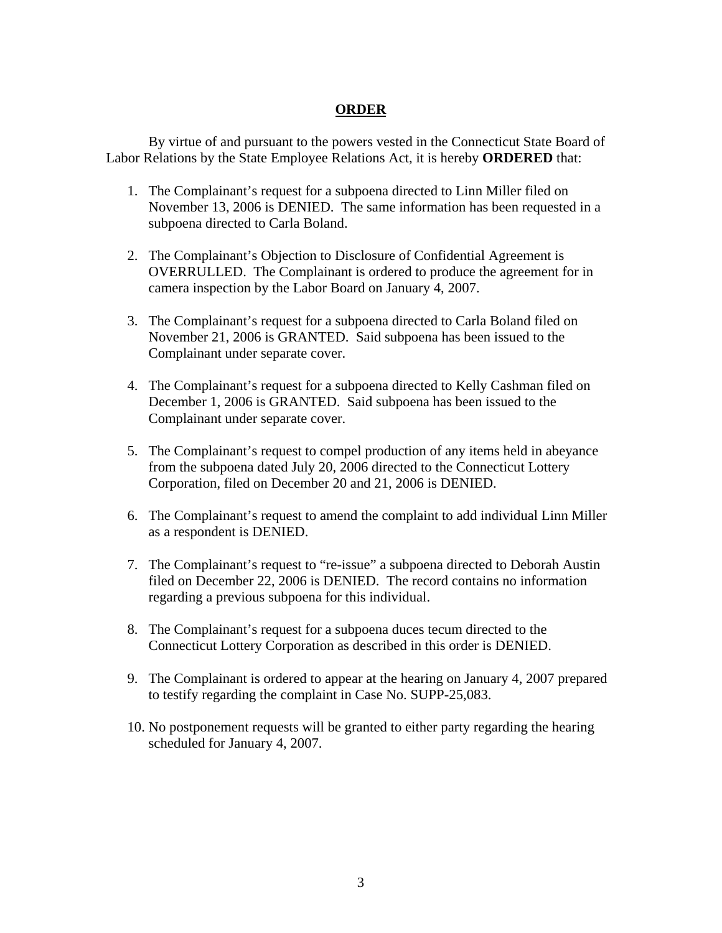### **ORDER**

 By virtue of and pursuant to the powers vested in the Connecticut State Board of Labor Relations by the State Employee Relations Act, it is hereby **ORDERED** that:

- 1. The Complainant's request for a subpoena directed to Linn Miller filed on November 13, 2006 is DENIED. The same information has been requested in a subpoena directed to Carla Boland.
- 2. The Complainant's Objection to Disclosure of Confidential Agreement is OVERRULLED. The Complainant is ordered to produce the agreement for in camera inspection by the Labor Board on January 4, 2007.
- 3. The Complainant's request for a subpoena directed to Carla Boland filed on November 21, 2006 is GRANTED. Said subpoena has been issued to the Complainant under separate cover.
- 4. The Complainant's request for a subpoena directed to Kelly Cashman filed on December 1, 2006 is GRANTED. Said subpoena has been issued to the Complainant under separate cover.
- 5. The Complainant's request to compel production of any items held in abeyance from the subpoena dated July 20, 2006 directed to the Connecticut Lottery Corporation, filed on December 20 and 21, 2006 is DENIED.
- 6. The Complainant's request to amend the complaint to add individual Linn Miller as a respondent is DENIED.
- 7. The Complainant's request to "re-issue" a subpoena directed to Deborah Austin filed on December 22, 2006 is DENIED. The record contains no information regarding a previous subpoena for this individual.
- 8. The Complainant's request for a subpoena duces tecum directed to the Connecticut Lottery Corporation as described in this order is DENIED.
- 9. The Complainant is ordered to appear at the hearing on January 4, 2007 prepared to testify regarding the complaint in Case No. SUPP-25,083.
- 10. No postponement requests will be granted to either party regarding the hearing scheduled for January 4, 2007.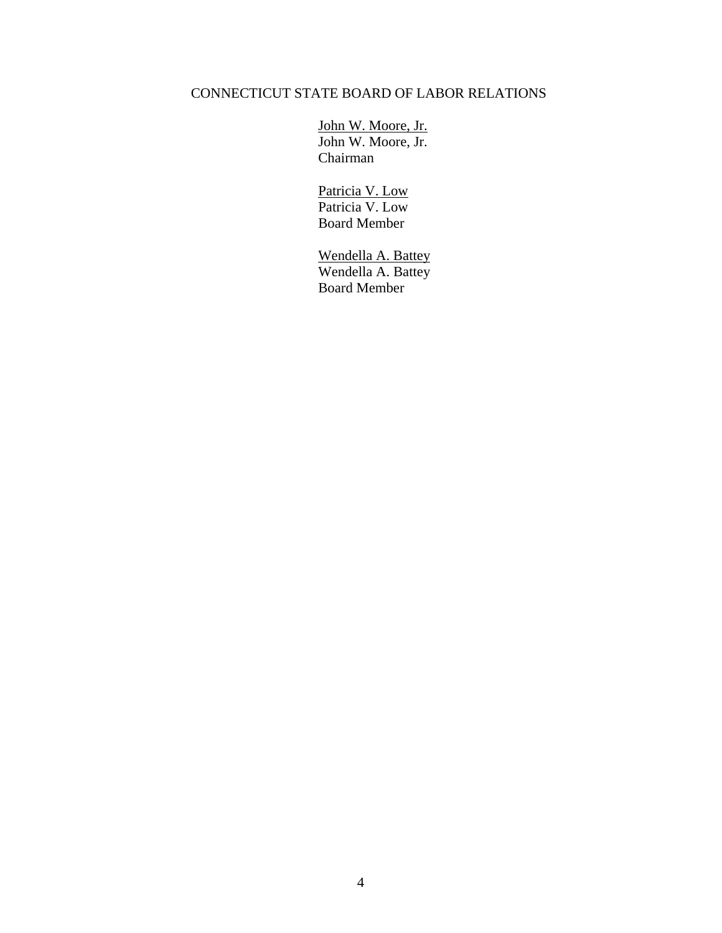# CONNECTICUT STATE BOARD OF LABOR RELATIONS

 John W. Moore, Jr. John W. Moore, Jr. Chairman

> Patricia V. Low Patricia V. Low Board Member

 Wendella A. Battey Wendella A. Battey Board Member